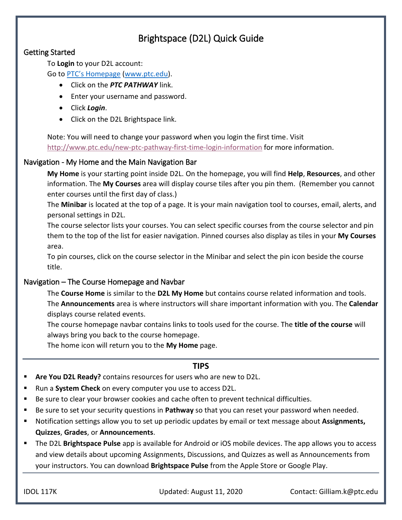# Brightspace (D2L) Quick Guide

# Getting Started

To **Login** to your D2L account:

Go to [PTC's Homepage](http://www.ptc.edu/) [\(www.ptc.edu\)](http://www.ptc.edu/).

- Click on the *PTC PATHWAY* link.
- Enter your username and password.
- Click *Login*.
- Click on the D2L Brightspace link.

Note: You will need to change your password when you login the first time. Visit <http://www.ptc.edu/new-ptc-pathway-first-time-login-information> for more information.

# Navigation - My Home and the Main Navigation Bar

**My Home** is your starting point inside D2L. On the homepage, you will find **Help**, **Resources**, and other information. The **My Courses** area will display course tiles after you pin them. (Remember you cannot enter courses until the first day of class.)

The **Minibar** is located at the top of a page. It is your main navigation tool to courses, email, alerts, and personal settings in D2L.

The course selector lists your courses. You can select specific courses from the course selector and pin them to the top of the list for easier navigation. Pinned courses also display as tiles in your **My Courses** area.

To pin courses, click on the course selector in the Minibar and select the pin icon beside the course title.

# Navigation – The Course Homepage and Navbar

The **Course Home** is similar to the **D2L My Home** but contains course related information and tools. The **Announcements** area is where instructors will share important information with you. The **Calendar** displays course related events.

The course homepage navbar contains links to tools used for the course. The **title of the course** will always bring you back to the course homepage.

The home icon will return you to the **My Home** page.

## **TIPS**

- **Are You D2L Ready?** contains resources for users who are new to D2L.
- Run a **System Check** on every computer you use to access D2L.
- Be sure to clear your browser cookies and cache often to prevent technical difficulties.
- Be sure to set your security questions in **Pathway** so that you can reset your password when needed.
- Notification settings allow you to set up periodic updates by email or text message about **Assignments, Quizzes**, **Grades**, or **Announcements**.
- The D2L **Brightspace Pulse** app is available for Android or iOS mobile devices. The app allows you to access and view details about upcoming Assignments, Discussions, and Quizzes as well as Announcements from your instructors. You can download **Brightspace Pulse** from the Apple Store or Google Play.

IDOL 117K Updated: August 11, 2020 Contact: Gilliam.k@ptc.edu